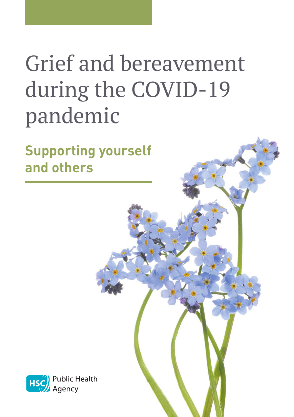# Grief and bereavement during the COVID-19 pandemic

**Supporting yourself and others**

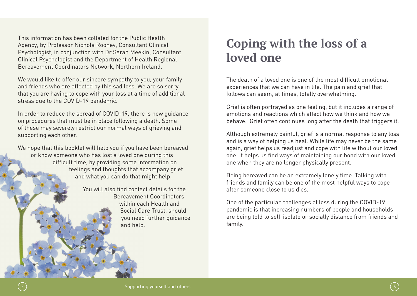This information has been collated for the Public Health Agency, by Professor Nichola Rooney, Consultant Clinical Psychologist, in conjunction with Dr Sarah Meekin, Consultant Clinical Psychologist and the Department of Health Regional Bereavement Coordinators Network, Northern Ireland.

We would like to offer our sincere sympathy to you, your family and friends who are affected by this sad loss. We are so sorry that you are having to cope with your loss at a time of additional stress due to the COVID-19 pandemic.

In order to reduce the spread of COVID-19, there is new guidance on procedures that must be in place following a death. Some of these may severely restrict our normal ways of grieving and supporting each other.

We hope that this booklet will help you if you have been bereaved or know someone who has lost a loved one during this difficult time, by providing some information on feelings and thoughts that accompany grief and what you can do that might help.

> You will also find contact details for the Bereavement Coordinators within each Health and Social Care Trust, should you need further guidance and help.

### **Coping with the loss of a loved one**

The death of a loved one is one of the most difficult emotional experiences that we can have in life. The pain and grief that follows can seem, at times, totally overwhelming.

Grief is often portrayed as one feeling, but it includes a range of emotions and reactions which affect how we think and how we behave. Grief often continues long after the death that triggers it.

Although extremely painful, grief is a normal response to any loss and is a way of helping us heal. While life may never be the same again, grief helps us readjust and cope with life without our loved one. It helps us find ways of maintaining our bond with our loved one when they are no longer physically present.

Being bereaved can be an extremely lonely time. Talking with friends and family can be one of the most helpful ways to cope after someone close to us dies.

One of the particular challenges of loss during the COVID-19 pandemic is that increasing numbers of people and households are being told to self-isolate or socially distance from friends and family.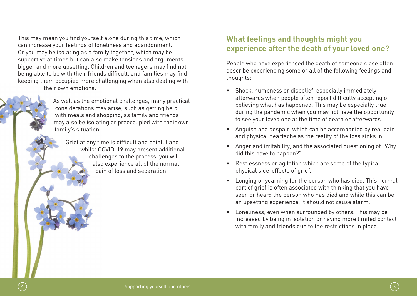This may mean you find yourself alone during this time, which can increase your feelings of loneliness and abandonment. Or you may be isolating as a family together, which may be supportive at times but can also make tensions and arguments bigger and more upsetting. Children and teenagers may find not being able to be with their friends difficult, and families may find keeping them occupied more challenging when also dealing with their own emotions.

> As well as the emotional challenges, many practical considerations may arise, such as getting help with meals and shopping, as family and friends may also be isolating or preoccupied with their own family's situation.

Grief at any time is difficult and painful and whilst COVID-19 may present additional challenges to the process, you will also experience all of the normal pain of loss and separation.

### **What feelings and thoughts might you experience after the death of your loved one?**

People who have experienced the death of someone close often describe experiencing some or all of the following feelings and thoughts:

- Shock, numbness or disbelief, especially immediately afterwards when people often report difficulty accepting or believing what has happened. This may be especially true during the pandemic when you may not have the opportunity to see your loved one at the time of death or afterwards.
- Anguish and despair, which can be accompanied by real pain and physical heartache as the reality of the loss sinks in.
- Anger and irritability, and the associated questioning of "Why did this have to happen?"
- Restlessness or agitation which are some of the typical physical side-effects of grief.
- Longing or yearning for the person who has died. This normal part of grief is often associated with thinking that you have seen or heard the person who has died and while this can be an upsetting experience, it should not cause alarm.
- Loneliness, even when surrounded by others. This may be increased by being in isolation or having more limited contact with family and friends due to the restrictions in place.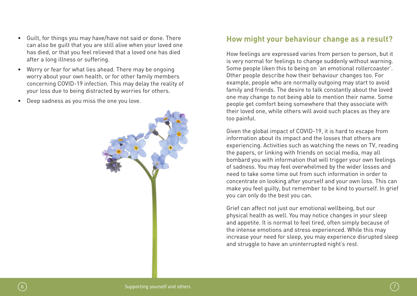- has died, or that you feel relieved that a loved one has died after a long illness or suffering. • Worry or fear for what lies ahead. There may be ongoing worry about your own health, or for other family members
- concerning COVID-19 infection. This may delay the reality of your loss due to being distracted by worries for others.

• Guilt, for things you may have/have not said or done. There can also be guilt that you are still alive when your loved one

• Deep sadness as you miss the one you love.



### **How might your behaviour change as a result?**

How feelings are expressed varies from person to person, but it is very normal for feelings to change suddenly without warning. Some people liken this to being on 'an emotional rollercoaster'. Other people describe how their behaviour changes too. For example, people who are normally outgoing may start to avoid family and friends. The desire to talk constantly about the loved one may change to not being able to mention their name. Some people get comfort being somewhere that they associate with their loved one, while others will avoid such places as they are too painful.

Given the global impact of COVID-19, it is hard to escape from information about its impact and the losses that others are experiencing. Activities such as watching the news on TV, reading the papers, or linking with friends on social media, may all bombard you with information that will trigger your own feelings of sadness. You may feel overwhelmed by the wider losses and need to take some time out from such information in order to concentrate on looking after yourself and your own loss. This can make you feel guilty, but remember to be kind to yourself. In grief you can only do the best you can.

Grief can affect not just our emotional wellbeing, but our physical health as well. You may notice changes in your sleep and appetite. It is normal to feel tired, often simply because of the intense emotions and stress experienced. While this may increase your need for sleep, you may experience disrupted sleep and struggle to have an uninterrupted night's rest.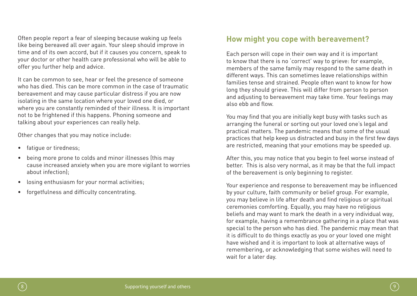Often people report a fear of sleeping because waking up feels like being bereaved all over again. Your sleep should improve in time and of its own accord, but if it causes you concern, speak to your doctor or other health care professional who will be able to offer you further help and advice.

It can be common to see, hear or feel the presence of someone who has died. This can be more common in the case of traumatic bereavement and may cause particular distress if you are now isolating in the same location where your loved one died, or where you are constantly reminded of their illness. It is important not to be frightened if this happens. Phoning someone and talking about your experiences can really help.

Other changes that you may notice include:

- fatigue or tiredness;
- being more prone to colds and minor illnesses (this may cause increased anxiety when you are more vigilant to worries about infection);
- losing enthusiasm for your normal activities;
- forgetfulness and difficulty concentrating.

### **How might you cope with bereavement?**

Each person will cope in their own way and it is important to know that there is no 'correct' way to grieve: for example, members of the same family may respond to the same death in different ways. This can sometimes leave relationships within families tense and strained. People often want to know for how long they should grieve. This will differ from person to person and adjusting to bereavement may take time. Your feelings may also ebb and flow.

You may find that you are initially kept busy with tasks such as arranging the funeral or sorting out your loved one's legal and practical matters. The pandemic means that some of the usual practices that help keep us distracted and busy in the first few days are restricted, meaning that your emotions may be speeded up.

After this, you may notice that you begin to feel worse instead of better. This is also very normal, as it may be that the full impact of the bereavement is only beginning to register.

Your experience and response to bereavement may be influenced by your culture, faith community or belief group. For example, you may believe in life after death and find religious or spiritual ceremonies comforting. Equally, you may have no religious beliefs and may want to mark the death in a very individual way, for example, having a remembrance gathering in a place that was special to the person who has died. The pandemic may mean that it is difficult to do things exactly as you or your loved one might have wished and it is important to look at alternative ways of remembering, or acknowledging that some wishes will need to wait for a later day.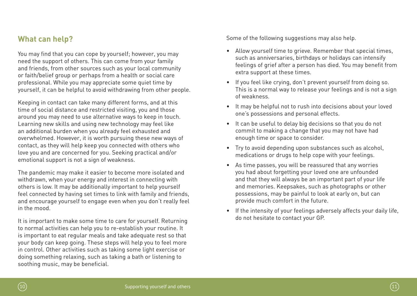### **What can help?**

You may find that you can cope by yourself; however, you may need the support of others. This can come from your family and friends, from other sources such as your local community or faith/belief group or perhaps from a health or social care professional. While you may appreciate some quiet time by yourself, it can be helpful to avoid withdrawing from other people.

Keeping in contact can take many different forms, and at this time of social distance and restricted visiting, you and those around you may need to use alternative ways to keep in touch. Learning new skills and using new technology may feel like an additional burden when you already feel exhausted and overwhelmed. However, it is worth pursuing these new ways of contact, as they will help keep you connected with others who love you and are concerned for you. Seeking practical and/or emotional support is not a sign of weakness.

The pandemic may make it easier to become more isolated and withdrawn, when your energy and interest in connecting with others is low. It may be additionally important to help yourself feel connected by having set times to link with family and friends, and encourage yourself to engage even when you don't really feel in the mood.

It is important to make some time to care for yourself. Returning to normal activities can help you to re-establish your routine. It is important to eat regular meals and take adequate rest so that your body can keep going. These steps will help you to feel more in control. Other activities such as taking some light exercise or doing something relaxing, such as taking a bath or listening to soothing music, may be beneficial.

Some of the following suggestions may also help.

- Allow yourself time to grieve. Remember that special times, such as anniversaries, birthdays or holidays can intensify feelings of grief after a person has died. You may benefit from extra support at these times.
- If you feel like crying, don't prevent yourself from doing so. This is a normal way to release your feelings and is not a sign of weakness.
- It may be helpful not to rush into decisions about your loved one's possessions and personal effects.
- It can be useful to delay big decisions so that you do not commit to making a change that you may not have had enough time or space to consider.
- Try to avoid depending upon substances such as alcohol, medications or drugs to help cope with your feelings.
- As time passes, you will be reassured that any worries you had about forgetting your loved one are unfounded and that they will always be an important part of your life and memories. Keepsakes, such as photographs or other possessions, may be painful to look at early on, but can provide much comfort in the future.
- If the intensity of your feelings adversely affects your daily life, do not hesitate to contact your GP.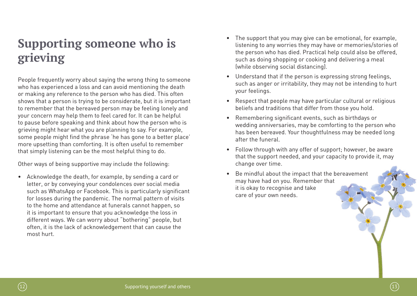## **Supporting someone who is grieving**

People frequently worry about saying the wrong thing to someone who has experienced a loss and can avoid mentioning the death or making any reference to the person who has died. This often shows that a person is trying to be considerate, but it is important to remember that the bereaved person may be feeling lonely and your concern may help them to feel cared for. It can be helpful to pause before speaking and think about how the person who is grieving might hear what you are planning to say. For example, some people might find the phrase 'he has gone to a better place' more upsetting than comforting. It is often useful to remember that simply listening can be the most helpful thing to do.

Other ways of being supportive may include the following:

• Acknowledge the death, for example, by sending a card or letter, or by conveying your condolences over social media such as WhatsApp or Facebook. This is particularly significant for losses during the pandemic. The normal pattern of visits to the home and attendance at funerals cannot happen, so it is important to ensure that you acknowledge the loss in different ways. We can worry about "bothering" people, but often, it is the lack of acknowledgement that can cause the most hurt.

- The support that you may give can be emotional, for example, listening to any worries they may have or memories/stories of the person who has died. Practical help could also be offered, such as doing shopping or cooking and delivering a meal (while observing social distancing).
- Understand that if the person is expressing strong feelings, such as anger or irritability, they may not be intending to hurt your feelings.
- Respect that people may have particular cultural or religious beliefs and traditions that differ from those you hold.
- Remembering significant events, such as birthdays or wedding anniversaries, may be comforting to the person who has been bereaved. Your thoughtfulness may be needed long after the funeral.
- Follow through with any offer of support; however, be aware that the support needed, and your capacity to provide it, may change over time.
- Be mindful about the impact that the bereavement may have had on you. Remember that it is okay to recognise and take care of your own needs.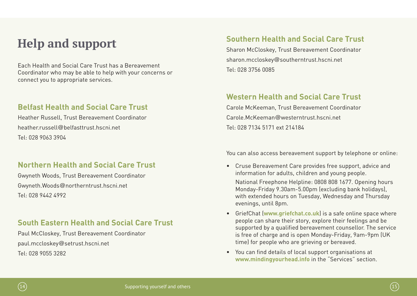### **Help and support**

Each Health and Social Care Trust has a Bereavement Coordinator who may be able to help with your concerns or connect you to appropriate services.

#### **Belfast Health and Social Care Trust**

Heather Russell, Trust Bereavement Coordinator heather.russell@helfasttrust.hscni.net. Tel: 028 9063 3904

### **Northern Health and Social Care Trust**

Gwyneth Woods, Trust Bereavement Coordinator Gwyneth.Woods@northerntrust.hscni.net Tel: 028 9442 4992

#### **South Eastern Health and Social Care Trust**

Paul McCloskey, Trust Bereavement Coordinator paul.mccloskey@setrust.hscni.net Tel: 028 9055 3282

### **Southern Health and Social Care Trust**

Sharon McCloskey, Trust Bereavement Coordinator sharon.mccloskey@southerntrust.hscni.net Tel: 028 3756 0085

### **Western Health and Social Care Trust**

Carole McKeeman, Trust Bereavement Coordinator Carole.McKeeman@westerntrust.hscni.net. Tel: 028 7134 5171 ext 214184

You can also access bereavement support by telephone or online:

• Cruse Bereavement Care provides free support, advice and information for adults, children and young people.

National Freephone Helpline: 0808 808 1677. Opening hours Monday-Friday 9.30am-5.00pm (excluding bank holidays), with extended hours on Tuesday, Wednesday and Thursday evenings, until 8pm.

- GriefChat (**www.griefchat.co.uk**) is a safe online space where people can share their story, explore their feelings and be supported by a qualified bereavement counsellor. The service is free of charge and is open Monday-Friday, 9am-9pm (UK time) for people who are grieving or bereaved.
- You can find details of local support organisations at **www.mindingyourhead.info** in the "Services" section.